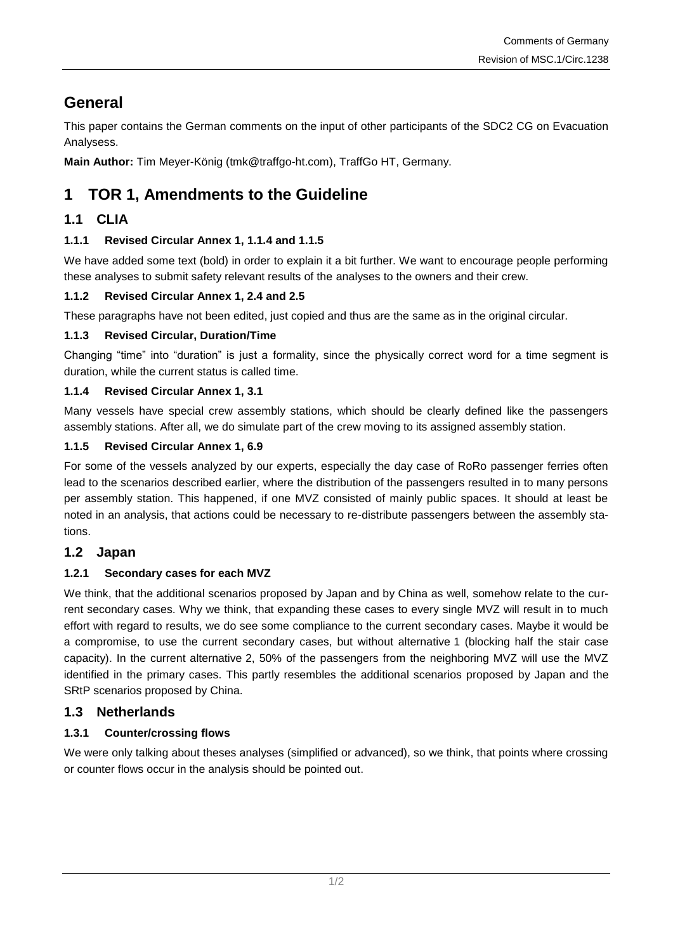# **General**

This paper contains the German comments on the input of other participants of the SDC2 CG on Evacuation Analysess.

**Main Author:** Tim Meyer-König (tmk@traffgo-ht.com), TraffGo HT, Germany.

## **1 TOR 1, Amendments to the Guideline**

## **1.1 CLIA**

#### **1.1.1 Revised Circular Annex 1, 1.1.4 and 1.1.5**

We have added some text (bold) in order to explain it a bit further. We want to encourage people performing these analyses to submit safety relevant results of the analyses to the owners and their crew.

#### **1.1.2 Revised Circular Annex 1, 2.4 and 2.5**

These paragraphs have not been edited, just copied and thus are the same as in the original circular.

#### **1.1.3 Revised Circular, Duration/Time**

Changing "time" into "duration" is just a formality, since the physically correct word for a time segment is duration, while the current status is called time.

#### **1.1.4 Revised Circular Annex 1, 3.1**

Many vessels have special crew assembly stations, which should be clearly defined like the passengers assembly stations. After all, we do simulate part of the crew moving to its assigned assembly station.

#### **1.1.5 Revised Circular Annex 1, 6.9**

For some of the vessels analyzed by our experts, especially the day case of RoRo passenger ferries often lead to the scenarios described earlier, where the distribution of the passengers resulted in to many persons per assembly station. This happened, if one MVZ consisted of mainly public spaces. It should at least be noted in an analysis, that actions could be necessary to re-distribute passengers between the assembly stations.

#### **1.2 Japan**

#### <span id="page-0-0"></span>**1.2.1 Secondary cases for each MVZ**

We think, that the additional scenarios proposed by Japan and by China as well, somehow relate to the current secondary cases. Why we think, that expanding these cases to every single MVZ will result in to much effort with regard to results, we do see some compliance to the current secondary cases. Maybe it would be a compromise, to use the current secondary cases, but without alternative 1 (blocking half the stair case capacity). In the current alternative 2, 50% of the passengers from the neighboring MVZ will use the MVZ identified in the primary cases. This partly resembles the additional scenarios proposed by Japan and the SRtP scenarios proposed by China.

#### **1.3 Netherlands**

#### **1.3.1 Counter/crossing flows**

We were only talking about theses analyses (simplified or advanced), so we think, that points where crossing or counter flows occur in the analysis should be pointed out.